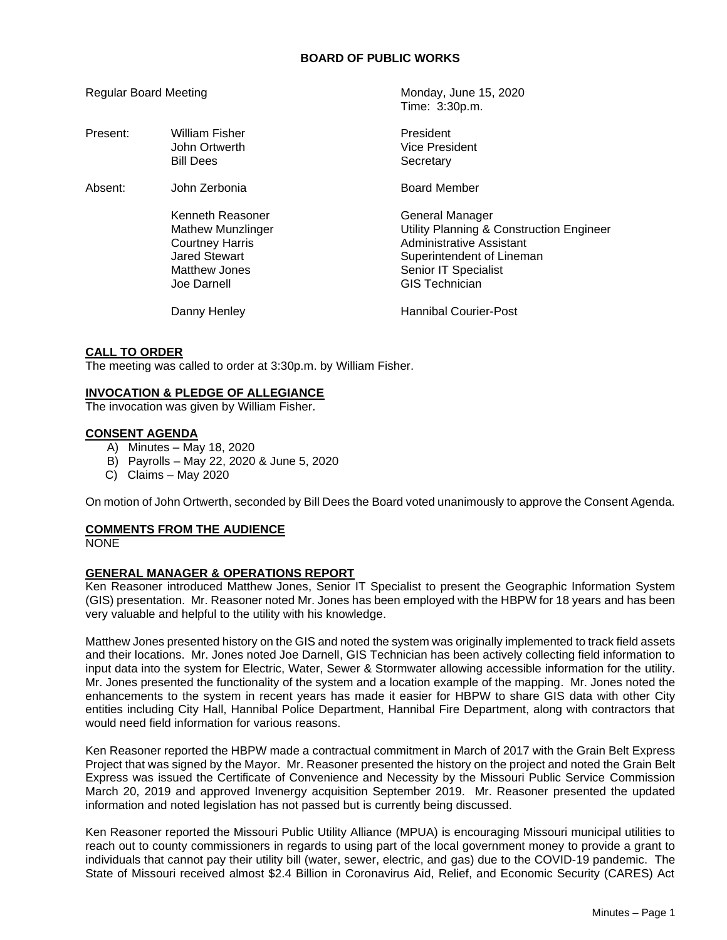| <b>Regular Board Meeting</b> |                                                                                                                         | Monday, June 15, 2020<br>Time: 3:30p.m.                                                                                                                                      |
|------------------------------|-------------------------------------------------------------------------------------------------------------------------|------------------------------------------------------------------------------------------------------------------------------------------------------------------------------|
| Present:                     | <b>William Fisher</b><br>John Ortwerth<br><b>Bill Dees</b>                                                              | President<br>Vice President<br>Secretary                                                                                                                                     |
| Absent:                      | John Zerbonia                                                                                                           | <b>Board Member</b>                                                                                                                                                          |
|                              | Kenneth Reasoner<br>Mathew Munzlinger<br><b>Courtney Harris</b><br>Jared Stewart<br><b>Matthew Jones</b><br>Joe Darnell | General Manager<br>Utility Planning & Construction Engineer<br>Administrative Assistant<br>Superintendent of Lineman<br><b>Senior IT Specialist</b><br><b>GIS Technician</b> |
|                              | Danny Henley                                                                                                            | <b>Hannibal Courier-Post</b>                                                                                                                                                 |

### **CALL TO ORDER**

The meeting was called to order at 3:30p.m. by William Fisher.

### **INVOCATION & PLEDGE OF ALLEGIANCE**

The invocation was given by William Fisher.

### **CONSENT AGENDA**

- A) Minutes May 18, 2020
- B) Payrolls May 22, 2020 & June 5, 2020
- C) Claims May 2020

On motion of John Ortwerth, seconded by Bill Dees the Board voted unanimously to approve the Consent Agenda.

# **COMMENTS FROM THE AUDIENCE**

NONE

## **GENERAL MANAGER & OPERATIONS REPORT**

Ken Reasoner introduced Matthew Jones, Senior IT Specialist to present the Geographic Information System (GIS) presentation. Mr. Reasoner noted Mr. Jones has been employed with the HBPW for 18 years and has been very valuable and helpful to the utility with his knowledge.

Matthew Jones presented history on the GIS and noted the system was originally implemented to track field assets and their locations. Mr. Jones noted Joe Darnell, GIS Technician has been actively collecting field information to input data into the system for Electric, Water, Sewer & Stormwater allowing accessible information for the utility. Mr. Jones presented the functionality of the system and a location example of the mapping. Mr. Jones noted the enhancements to the system in recent years has made it easier for HBPW to share GIS data with other City entities including City Hall, Hannibal Police Department, Hannibal Fire Department, along with contractors that would need field information for various reasons.

Ken Reasoner reported the HBPW made a contractual commitment in March of 2017 with the Grain Belt Express Project that was signed by the Mayor. Mr. Reasoner presented the history on the project and noted the Grain Belt Express was issued the Certificate of Convenience and Necessity by the Missouri Public Service Commission March 20, 2019 and approved Invenergy acquisition September 2019. Mr. Reasoner presented the updated information and noted legislation has not passed but is currently being discussed.

Ken Reasoner reported the Missouri Public Utility Alliance (MPUA) is encouraging Missouri municipal utilities to reach out to county commissioners in regards to using part of the local government money to provide a grant to individuals that cannot pay their utility bill (water, sewer, electric, and gas) due to the COVID-19 pandemic. The State of Missouri received almost \$2.4 Billion in Coronavirus Aid, Relief, and Economic Security (CARES) Act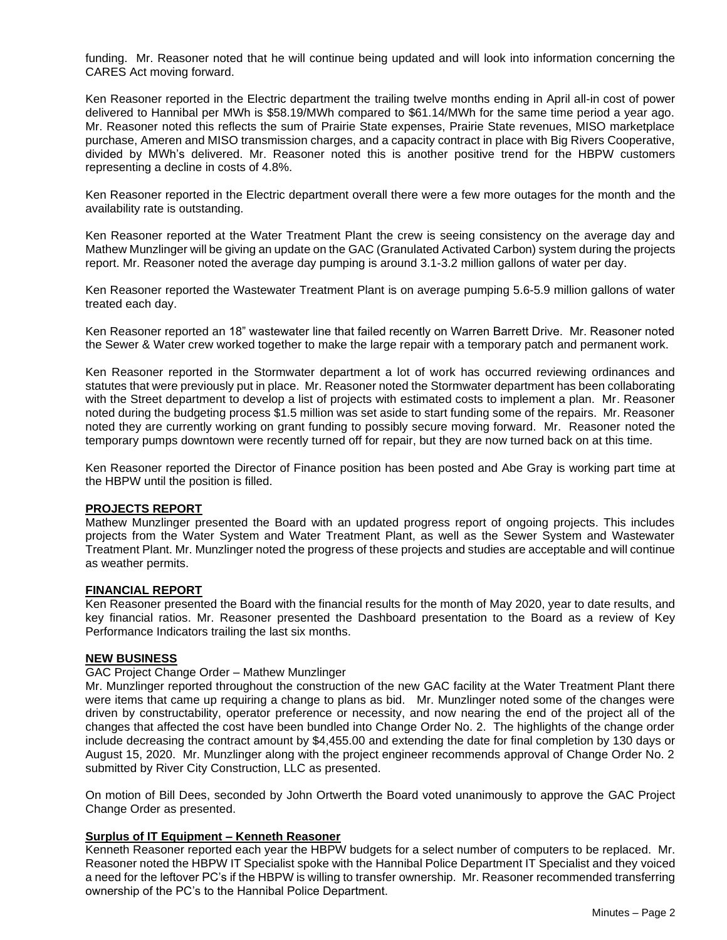funding. Mr. Reasoner noted that he will continue being updated and will look into information concerning the CARES Act moving forward.

Ken Reasoner reported in the Electric department the trailing twelve months ending in April all-in cost of power delivered to Hannibal per MWh is \$58.19/MWh compared to \$61.14/MWh for the same time period a year ago. Mr. Reasoner noted this reflects the sum of Prairie State expenses, Prairie State revenues, MISO marketplace purchase, Ameren and MISO transmission charges, and a capacity contract in place with Big Rivers Cooperative, divided by MWh's delivered. Mr. Reasoner noted this is another positive trend for the HBPW customers representing a decline in costs of 4.8%.

Ken Reasoner reported in the Electric department overall there were a few more outages for the month and the availability rate is outstanding.

Ken Reasoner reported at the Water Treatment Plant the crew is seeing consistency on the average day and Mathew Munzlinger will be giving an update on the GAC (Granulated Activated Carbon) system during the projects report. Mr. Reasoner noted the average day pumping is around 3.1-3.2 million gallons of water per day.

Ken Reasoner reported the Wastewater Treatment Plant is on average pumping 5.6-5.9 million gallons of water treated each day.

Ken Reasoner reported an 18" wastewater line that failed recently on Warren Barrett Drive. Mr. Reasoner noted the Sewer & Water crew worked together to make the large repair with a temporary patch and permanent work.

Ken Reasoner reported in the Stormwater department a lot of work has occurred reviewing ordinances and statutes that were previously put in place. Mr. Reasoner noted the Stormwater department has been collaborating with the Street department to develop a list of projects with estimated costs to implement a plan. Mr. Reasoner noted during the budgeting process \$1.5 million was set aside to start funding some of the repairs. Mr. Reasoner noted they are currently working on grant funding to possibly secure moving forward. Mr. Reasoner noted the temporary pumps downtown were recently turned off for repair, but they are now turned back on at this time.

Ken Reasoner reported the Director of Finance position has been posted and Abe Gray is working part time at the HBPW until the position is filled.

#### **PROJECTS REPORT**

Mathew Munzlinger presented the Board with an updated progress report of ongoing projects. This includes projects from the Water System and Water Treatment Plant, as well as the Sewer System and Wastewater Treatment Plant. Mr. Munzlinger noted the progress of these projects and studies are acceptable and will continue as weather permits.

#### **FINANCIAL REPORT**

Ken Reasoner presented the Board with the financial results for the month of May 2020, year to date results, and key financial ratios. Mr. Reasoner presented the Dashboard presentation to the Board as a review of Key Performance Indicators trailing the last six months.

## **NEW BUSINESS**

#### GAC Project Change Order – Mathew Munzlinger

Mr. Munzlinger reported throughout the construction of the new GAC facility at the Water Treatment Plant there were items that came up requiring a change to plans as bid. Mr. Munzlinger noted some of the changes were driven by constructability, operator preference or necessity, and now nearing the end of the project all of the changes that affected the cost have been bundled into Change Order No. 2. The highlights of the change order include decreasing the contract amount by \$4,455.00 and extending the date for final completion by 130 days or August 15, 2020. Mr. Munzlinger along with the project engineer recommends approval of Change Order No. 2 submitted by River City Construction, LLC as presented.

On motion of Bill Dees, seconded by John Ortwerth the Board voted unanimously to approve the GAC Project Change Order as presented.

# **Surplus of IT Equipment – Kenneth Reasoner**

Kenneth Reasoner reported each year the HBPW budgets for a select number of computers to be replaced. Mr. Reasoner noted the HBPW IT Specialist spoke with the Hannibal Police Department IT Specialist and they voiced a need for the leftover PC's if the HBPW is willing to transfer ownership. Mr. Reasoner recommended transferring ownership of the PC's to the Hannibal Police Department.